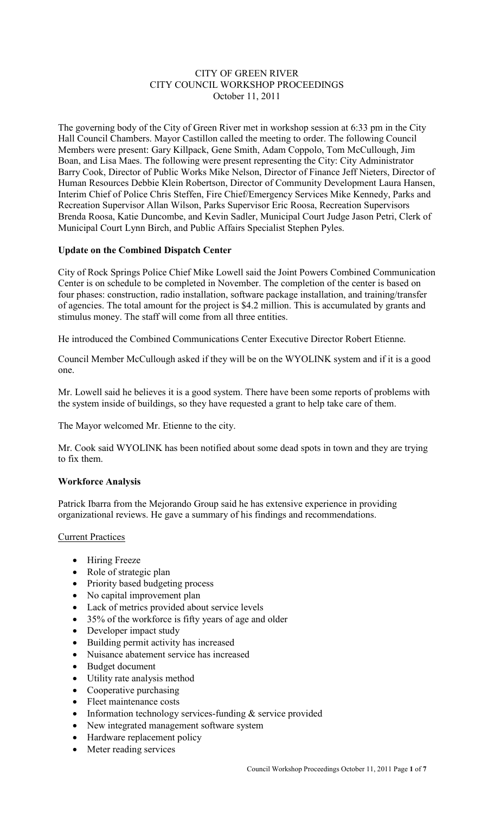## CITY OF GREEN RIVER CITY COUNCIL WORKSHOP PROCEEDINGS October 11, 2011

The governing body of the City of Green River met in workshop session at 6:33 pm in the City Hall Council Chambers. Mayor Castillon called the meeting to order. The following Council Members were present: Gary Killpack, Gene Smith, Adam Coppolo, Tom McCullough, Jim Boan, and Lisa Maes. The following were present representing the City: City Administrator Barry Cook, Director of Public Works Mike Nelson, Director of Finance Jeff Nieters, Director of Human Resources Debbie Klein Robertson, Director of Community Development Laura Hansen, Interim Chief of Police Chris Steffen, Fire Chief/Emergency Services Mike Kennedy, Parks and Recreation Supervisor Allan Wilson, Parks Supervisor Eric Roosa, Recreation Supervisors Brenda Roosa, Katie Duncombe, and Kevin Sadler, Municipal Court Judge Jason Petri, Clerk of Municipal Court Lynn Birch, and Public Affairs Specialist Stephen Pyles.

# **Update on the Combined Dispatch Center**

City of Rock Springs Police Chief Mike Lowell said the Joint Powers Combined Communication Center is on schedule to be completed in November. The completion of the center is based on four phases: construction, radio installation, software package installation, and training/transfer of agencies. The total amount for the project is \$4.2 million. This is accumulated by grants and stimulus money. The staff will come from all three entities.

He introduced the Combined Communications Center Executive Director Robert Etienne.

Council Member McCullough asked if they will be on the WYOLINK system and if it is a good one.

Mr. Lowell said he believes it is a good system. There have been some reports of problems with the system inside of buildings, so they have requested a grant to help take care of them.

The Mayor welcomed Mr. Etienne to the city.

Mr. Cook said WYOLINK has been notified about some dead spots in town and they are trying to fix them.

## **Workforce Analysis**

Patrick Ibarra from the Mejorando Group said he has extensive experience in providing organizational reviews. He gave a summary of his findings and recommendations.

## Current Practices

- Hiring Freeze
- Role of strategic plan
- Priority based budgeting process
- No capital improvement plan
- Lack of metrics provided about service levels
- 35% of the workforce is fifty years of age and older
- Developer impact study
- Building permit activity has increased
- Nuisance abatement service has increased
- Budget document
- Utility rate analysis method
- Cooperative purchasing
- Fleet maintenance costs
- Information technology services-funding  $&$  service provided
- New integrated management software system
- Hardware replacement policy
- Meter reading services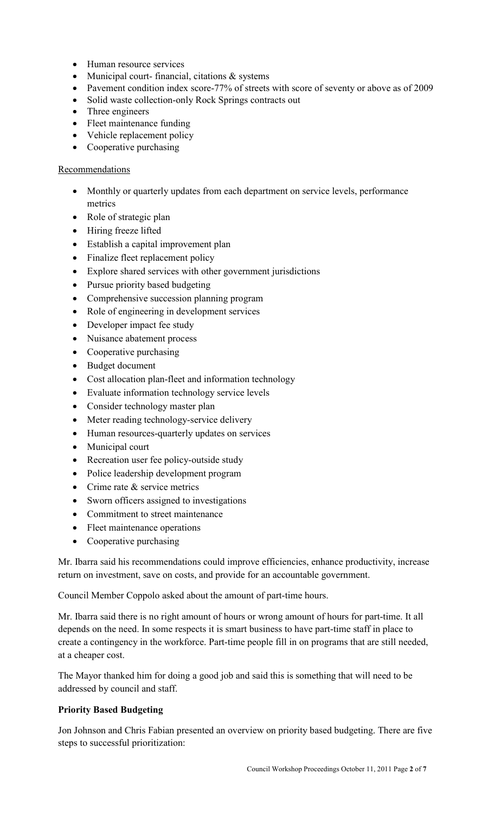- Human resource services
- Municipal court- financial, citations & systems
- Pavement condition index score-77% of streets with score of seventy or above as of 2009
- Solid waste collection-only Rock Springs contracts out
- Three engineers
- Fleet maintenance funding
- Vehicle replacement policy
- Cooperative purchasing

## Recommendations

- Monthly or quarterly updates from each department on service levels, performance metrics
- Role of strategic plan
- Hiring freeze lifted
- Establish a capital improvement plan
- Finalize fleet replacement policy
- Explore shared services with other government jurisdictions
- Pursue priority based budgeting
- Comprehensive succession planning program
- Role of engineering in development services
- Developer impact fee study
- Nuisance abatement process
- Cooperative purchasing
- Budget document
- Cost allocation plan-fleet and information technology
- Evaluate information technology service levels
- Consider technology master plan
- Meter reading technology-service delivery
- Human resources-quarterly updates on services
- Municipal court
- Recreation user fee policy-outside study
- Police leadership development program
- Crime rate & service metrics
- Sworn officers assigned to investigations
- Commitment to street maintenance
- Fleet maintenance operations
- Cooperative purchasing

Mr. Ibarra said his recommendations could improve efficiencies, enhance productivity, increase return on investment, save on costs, and provide for an accountable government.

Council Member Coppolo asked about the amount of part-time hours.

Mr. Ibarra said there is no right amount of hours or wrong amount of hours for part-time. It all depends on the need. In some respects it is smart business to have part-time staff in place to create a contingency in the workforce. Part-time people fill in on programs that are still needed, at a cheaper cost.

The Mayor thanked him for doing a good job and said this is something that will need to be addressed by council and staff.

## **Priority Based Budgeting**

Jon Johnson and Chris Fabian presented an overview on priority based budgeting. There are five steps to successful prioritization: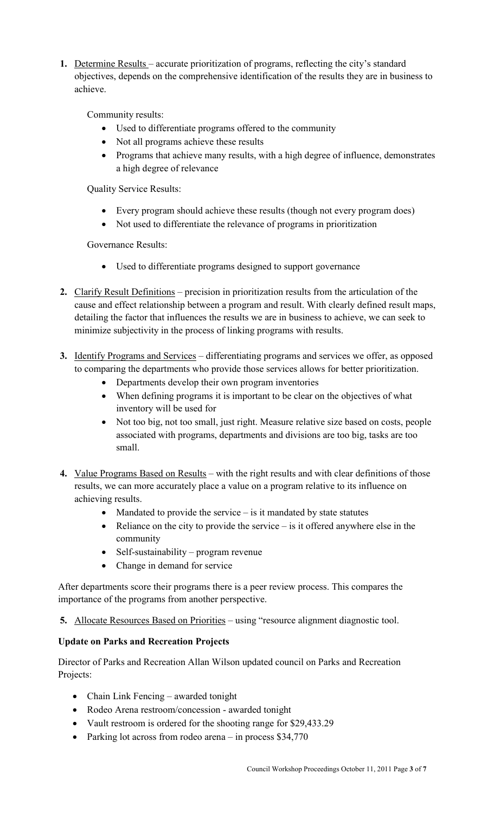**1.** Determine Results – accurate prioritization of programs, reflecting the city's standard objectives, depends on the comprehensive identification of the results they are in business to achieve.

Community results:

- Used to differentiate programs offered to the community
- Not all programs achieve these results
- Programs that achieve many results, with a high degree of influence, demonstrates a high degree of relevance

Quality Service Results:

- Every program should achieve these results (though not every program does)
- Not used to differentiate the relevance of programs in prioritization

Governance Results:

- Used to differentiate programs designed to support governance
- **2.** Clarify Result Definitions precision in prioritization results from the articulation of the cause and effect relationship between a program and result. With clearly defined result maps, detailing the factor that influences the results we are in business to achieve, we can seek to minimize subjectivity in the process of linking programs with results.
- **3.** Identify Programs and Services differentiating programs and services we offer, as opposed to comparing the departments who provide those services allows for better prioritization.
	- Departments develop their own program inventories
	- When defining programs it is important to be clear on the objectives of what inventory will be used for
	- Not too big, not too small, just right. Measure relative size based on costs, people associated with programs, departments and divisions are too big, tasks are too small.
- **4.** Value Programs Based on Results with the right results and with clear definitions of those results, we can more accurately place a value on a program relative to its influence on achieving results.
	- Mandated to provide the service  $-\overline{\ }$  is it mandated by state statutes
	- Reliance on the city to provide the service is it offered anywhere else in the community
	- Self-sustainability program revenue
	- Change in demand for service

After departments score their programs there is a peer review process. This compares the importance of the programs from another perspective.

**5.** Allocate Resources Based on Priorities – using "resource alignment diagnostic tool.

# **Update on Parks and Recreation Projects**

Director of Parks and Recreation Allan Wilson updated council on Parks and Recreation Projects:

- Chain Link Fencing awarded tonight
- Rodeo Arena restroom/concession awarded tonight
- Vault restroom is ordered for the shooting range for \$29,433.29
- Parking lot across from rodeo arena in process \$34,770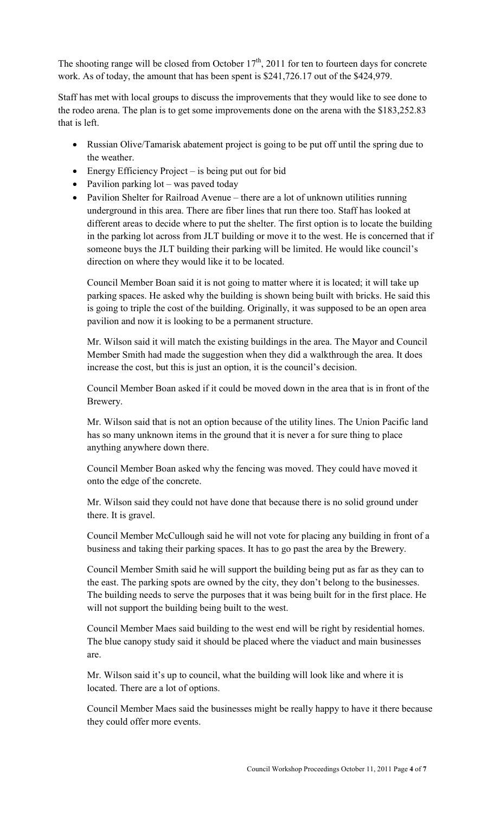The shooting range will be closed from October  $17<sup>th</sup>$ , 2011 for ten to fourteen days for concrete work. As of today, the amount that has been spent is \$241,726.17 out of the \$424,979.

Staff has met with local groups to discuss the improvements that they would like to see done to the rodeo arena. The plan is to get some improvements done on the arena with the \$183,252.83 that is left.

- Russian Olive/Tamarisk abatement project is going to be put off until the spring due to the weather.
- Energy Efficiency Project is being put out for bid
- Pavilion parking lot was paved today
- Pavilion Shelter for Railroad Avenue there are a lot of unknown utilities running underground in this area. There are fiber lines that run there too. Staff has looked at different areas to decide where to put the shelter. The first option is to locate the building in the parking lot across from JLT building or move it to the west. He is concerned that if someone buys the JLT building their parking will be limited. He would like council's direction on where they would like it to be located.

Council Member Boan said it is not going to matter where it is located; it will take up parking spaces. He asked why the building is shown being built with bricks. He said this is going to triple the cost of the building. Originally, it was supposed to be an open area pavilion and now it is looking to be a permanent structure.

Mr. Wilson said it will match the existing buildings in the area. The Mayor and Council Member Smith had made the suggestion when they did a walkthrough the area. It does increase the cost, but this is just an option, it is the council's decision.

Council Member Boan asked if it could be moved down in the area that is in front of the Brewery.

Mr. Wilson said that is not an option because of the utility lines. The Union Pacific land has so many unknown items in the ground that it is never a for sure thing to place anything anywhere down there.

Council Member Boan asked why the fencing was moved. They could have moved it onto the edge of the concrete.

Mr. Wilson said they could not have done that because there is no solid ground under there. It is gravel.

Council Member McCullough said he will not vote for placing any building in front of a business and taking their parking spaces. It has to go past the area by the Brewery.

Council Member Smith said he will support the building being put as far as they can to the east. The parking spots are owned by the city, they don't belong to the businesses. The building needs to serve the purposes that it was being built for in the first place. He will not support the building being built to the west.

Council Member Maes said building to the west end will be right by residential homes. The blue canopy study said it should be placed where the viaduct and main businesses are.

Mr. Wilson said it's up to council, what the building will look like and where it is located. There are a lot of options.

Council Member Maes said the businesses might be really happy to have it there because they could offer more events.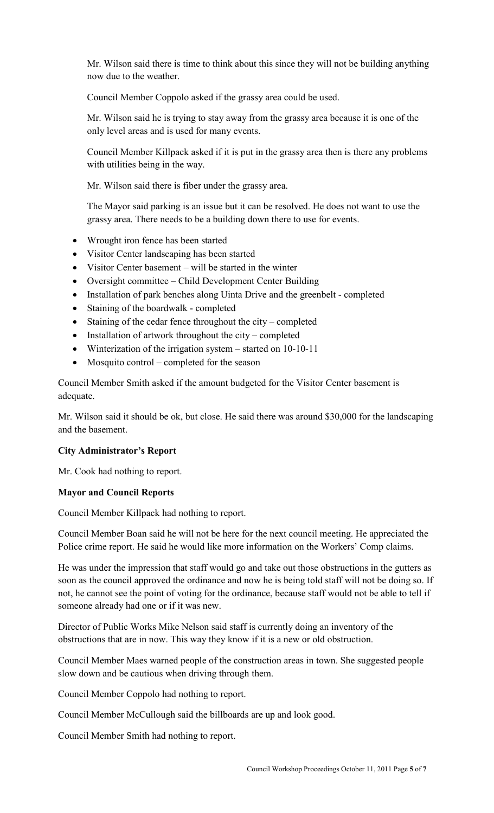Mr. Wilson said there is time to think about this since they will not be building anything now due to the weather.

Council Member Coppolo asked if the grassy area could be used.

Mr. Wilson said he is trying to stay away from the grassy area because it is one of the only level areas and is used for many events.

Council Member Killpack asked if it is put in the grassy area then is there any problems with utilities being in the way.

Mr. Wilson said there is fiber under the grassy area.

The Mayor said parking is an issue but it can be resolved. He does not want to use the grassy area. There needs to be a building down there to use for events.

- Wrought iron fence has been started
- Visitor Center landscaping has been started
- Visitor Center basement will be started in the winter
- Oversight committee Child Development Center Building
- Installation of park benches along Uinta Drive and the greenbelt completed
- Staining of the boardwalk completed
- Staining of the cedar fence throughout the city completed
- Installation of artwork throughout the city completed
- Winterization of the irrigation system started on 10-10-11
- Mosquito control completed for the season

Council Member Smith asked if the amount budgeted for the Visitor Center basement is adequate.

Mr. Wilson said it should be ok, but close. He said there was around \$30,000 for the landscaping and the basement.

## **City Administrator's Report**

Mr. Cook had nothing to report.

## **Mayor and Council Reports**

Council Member Killpack had nothing to report.

Council Member Boan said he will not be here for the next council meeting. He appreciated the Police crime report. He said he would like more information on the Workers' Comp claims.

He was under the impression that staff would go and take out those obstructions in the gutters as soon as the council approved the ordinance and now he is being told staff will not be doing so. If not, he cannot see the point of voting for the ordinance, because staff would not be able to tell if someone already had one or if it was new.

Director of Public Works Mike Nelson said staff is currently doing an inventory of the obstructions that are in now. This way they know if it is a new or old obstruction.

Council Member Maes warned people of the construction areas in town. She suggested people slow down and be cautious when driving through them.

Council Member Coppolo had nothing to report.

Council Member McCullough said the billboards are up and look good.

Council Member Smith had nothing to report.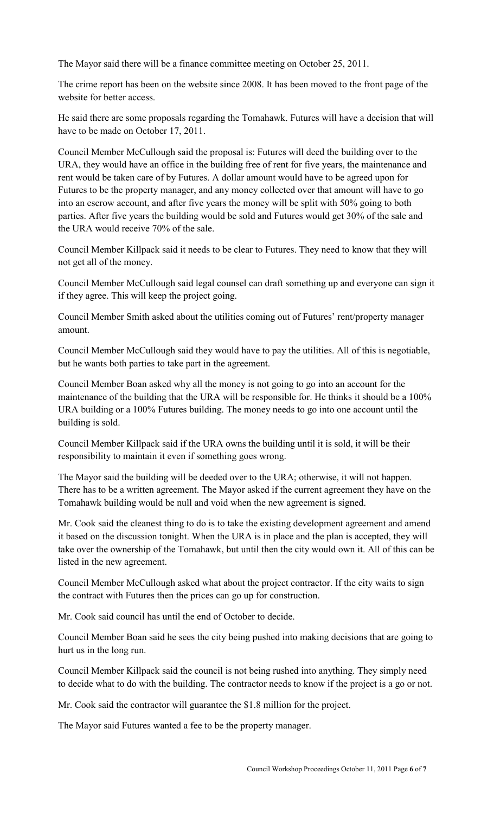The Mayor said there will be a finance committee meeting on October 25, 2011.

The crime report has been on the website since 2008. It has been moved to the front page of the website for better access.

He said there are some proposals regarding the Tomahawk. Futures will have a decision that will have to be made on October 17, 2011.

Council Member McCullough said the proposal is: Futures will deed the building over to the URA, they would have an office in the building free of rent for five years, the maintenance and rent would be taken care of by Futures. A dollar amount would have to be agreed upon for Futures to be the property manager, and any money collected over that amount will have to go into an escrow account, and after five years the money will be split with 50% going to both parties. After five years the building would be sold and Futures would get 30% of the sale and the URA would receive 70% of the sale.

Council Member Killpack said it needs to be clear to Futures. They need to know that they will not get all of the money.

Council Member McCullough said legal counsel can draft something up and everyone can sign it if they agree. This will keep the project going.

Council Member Smith asked about the utilities coming out of Futures' rent/property manager amount.

Council Member McCullough said they would have to pay the utilities. All of this is negotiable, but he wants both parties to take part in the agreement.

Council Member Boan asked why all the money is not going to go into an account for the maintenance of the building that the URA will be responsible for. He thinks it should be a 100% URA building or a 100% Futures building. The money needs to go into one account until the building is sold.

Council Member Killpack said if the URA owns the building until it is sold, it will be their responsibility to maintain it even if something goes wrong.

The Mayor said the building will be deeded over to the URA; otherwise, it will not happen. There has to be a written agreement. The Mayor asked if the current agreement they have on the Tomahawk building would be null and void when the new agreement is signed.

Mr. Cook said the cleanest thing to do is to take the existing development agreement and amend it based on the discussion tonight. When the URA is in place and the plan is accepted, they will take over the ownership of the Tomahawk, but until then the city would own it. All of this can be listed in the new agreement.

Council Member McCullough asked what about the project contractor. If the city waits to sign the contract with Futures then the prices can go up for construction.

Mr. Cook said council has until the end of October to decide.

Council Member Boan said he sees the city being pushed into making decisions that are going to hurt us in the long run.

Council Member Killpack said the council is not being rushed into anything. They simply need to decide what to do with the building. The contractor needs to know if the project is a go or not.

Mr. Cook said the contractor will guarantee the \$1.8 million for the project.

The Mayor said Futures wanted a fee to be the property manager.